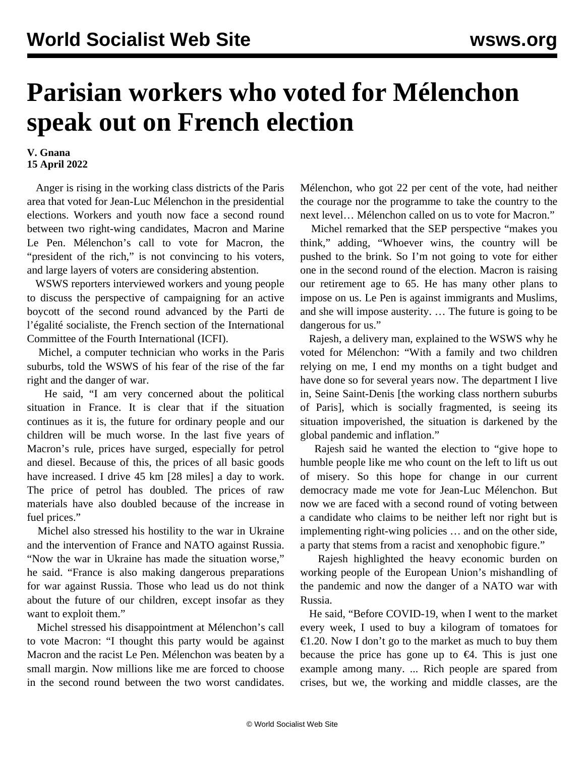## **Parisian workers who voted for Mélenchon speak out on French election**

## **V. Gnana 15 April 2022**

 Anger is rising in the working class districts of the Paris area that voted for Jean-Luc Mélenchon in the presidential elections. Workers and youth now face a second round between two right-wing candidates, Macron and Marine Le Pen. Mélenchon's call to vote for Macron, the "president of the rich," is not convincing to his voters, and large layers of voters are considering abstention.

 WSWS reporters interviewed workers and young people to discuss the perspective of campaigning for an active boycott of the second round advanced by the Parti de l'égalité socialiste, the French section of the International Committee of the Fourth International (ICFI).

 Michel, a computer technician who works in the Paris suburbs, told the WSWS of his fear of the rise of the far right and the danger of war.

 He said, "I am very concerned about the political situation in France. It is clear that if the situation continues as it is, the future for ordinary people and our children will be much worse. In the last five years of Macron's rule, prices have surged, especially for petrol and diesel. Because of this, the prices of all basic goods have increased. I drive 45 km [28 miles] a day to work. The price of petrol has doubled. The prices of raw materials have also doubled because of the increase in fuel prices."

 Michel also stressed his hostility to the war in Ukraine and the intervention of France and NATO against Russia. "Now the war in Ukraine has made the situation worse," he said. "France is also making dangerous preparations for war against Russia. Those who lead us do not think about the future of our children, except insofar as they want to exploit them."

 Michel stressed his disappointment at Mélenchon's call to vote Macron: "I thought this party would be against Macron and the racist Le Pen. Mélenchon was beaten by a small margin. Now millions like me are forced to choose in the second round between the two worst candidates.

Mélenchon, who got 22 per cent of the vote, had neither the courage nor the programme to take the country to the next level… Mélenchon called on us to vote for Macron."

 Michel remarked that the SEP perspective "makes you think," adding, "Whoever wins, the country will be pushed to the brink. So I'm not going to vote for either one in the second round of the election. Macron is raising our retirement age to 65. He has many other plans to impose on us. Le Pen is against immigrants and Muslims, and she will impose austerity. … The future is going to be dangerous for us."

 Rajesh, a delivery man, explained to the WSWS why he voted for Mélenchon: "With a family and two children relying on me, I end my months on a tight budget and have done so for several years now. The department I live in, Seine Saint-Denis [the working class northern suburbs of Paris], which is socially fragmented, is seeing its situation impoverished, the situation is darkened by the global pandemic and inflation."

 Rajesh said he wanted the election to "give hope to humble people like me who count on the left to lift us out of misery. So this hope for change in our current democracy made me vote for Jean-Luc Mélenchon. But now we are faced with a second round of voting between a candidate who claims to be neither left nor right but is implementing right-wing policies … and on the other side, a party that stems from a racist and xenophobic figure."

 Rajesh highlighted the heavy economic burden on working people of the European Union's mishandling of the pandemic and now the danger of a NATO war with Russia.

 He said, "Before COVID-19, when I went to the market every week, I used to buy a kilogram of tomatoes for €1.20. Now I don't go to the market as much to buy them because the price has gone up to  $\epsilon$ 4. This is just one example among many. ... Rich people are spared from crises, but we, the working and middle classes, are the